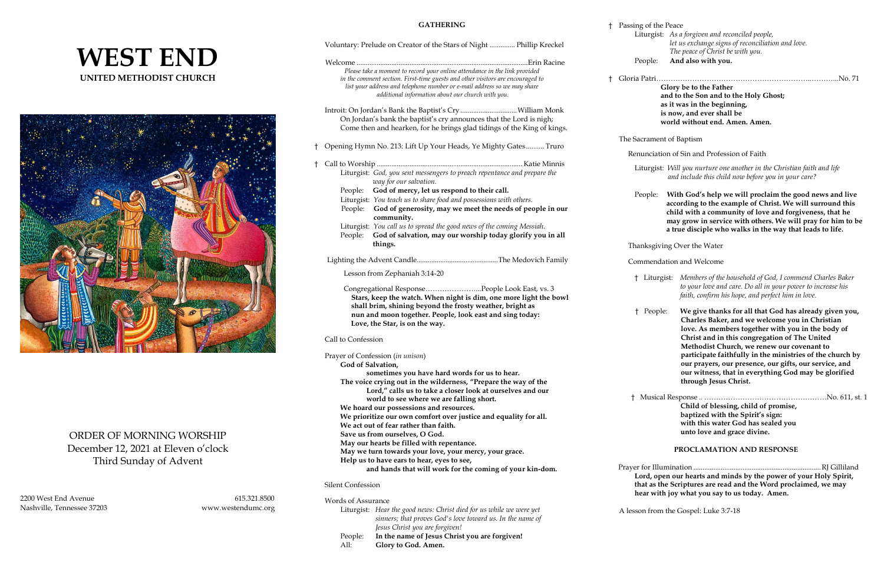# **WEST END UNITED METHODIST CHURCH**



# ORDER OF MORNING WORSHIP December 12, 2021 at Eleven o'clock Third Sunday of Advent

2200 West End Avenue 615.321.8500 Nashville, Tennessee 37203 www.westendumc.org

### **GATHERING**

 $\dagger$  Passing of

## Voluntary: Prelude on Creator of the Stars of Night .............. Phillip Kreckel Welcome ..............................................................................................Erin Racine *Please take a moment to record your online attendance in the link provided in the comment section. First-time guests and other visitors are encouraged to list your address and telephone number or e-mail address so we may share additional information about our church with you.*

- Introit: On Jordan's Bank the Baptist's Cry...............................William Monk On Jordan's bank the baptist's cry announces that the Lord is nigh; Come then and hearken, for he brings glad tidings of the King of kings.
- † Opening Hymn No. 213: Lift Up Your Heads, Ye Mighty Gates .......... Truro † Call to Worship ................................................................................ Katie Minnis Liturgist: *God, you sent messengers to preach repentance and prepare the way for our salvation.*  People: **God of mercy, let us respond to their call.**
- Liturgist: *You teach us to share food and possessions with others.*  People: **God of generosity, may we meet the needs of people in our community.**  Liturgist: *You call us to spread the good news of the coming Messiah.*  People: **God of salvation, may our worship today glorify you in all things.**

 **nun and moon together. People, look east and sing today:**

 **Love, the Star, is on the way.**

### Call to Confession

 Prayer for Illumination ......................................................................RJ Gilliland open our hearts and minds by the power of your Holy Spirit, as the Scriptures are read and the Word proclaimed, we may with joy what you say to us today. Amen.

from the Gospel: Luke 3:7-18

|                                                                  | Prayer of Confession (in unison)                                                                                                 |                    |
|------------------------------------------------------------------|----------------------------------------------------------------------------------------------------------------------------------|--------------------|
| God of Salvation,                                                |                                                                                                                                  |                    |
|                                                                  | sometimes you have hard words for us to hear.                                                                                    |                    |
| The voice crying out in the wilderness, "Prepare the way of the  |                                                                                                                                  |                    |
|                                                                  | Lord," calls us to take a closer look at ourselves and our                                                                       |                    |
|                                                                  | world to see where we are falling short.                                                                                         | Mu                 |
|                                                                  | We hoard our possessions and resources.                                                                                          |                    |
| We prioritize our own comfort over justice and equality for all. |                                                                                                                                  |                    |
|                                                                  | We act out of fear rather than faith.                                                                                            |                    |
|                                                                  | Save us from ourselves, O God.                                                                                                   |                    |
|                                                                  | May our hearts be filled with repentance.                                                                                        |                    |
|                                                                  | May we turn towards your love, your mercy, your grace.                                                                           |                    |
|                                                                  | Help us to have ears to hear, eyes to see,                                                                                       |                    |
|                                                                  | and hands that will work for the coming of your kin-dom.                                                                         | Prayer for<br>Lord |
| <b>Silent Confession</b>                                         |                                                                                                                                  | that a<br>hear     |
| Words of Assurance                                               |                                                                                                                                  |                    |
|                                                                  | Liturgist: Hear the good news: Christ died for us while we were yet<br>sinners; that proves God's love toward us. In the name of | A lesson f         |

 Lighting the Advent Candle.............................................The Medovich Family Lesson from Zephaniah 3:14-20 Congregational Response…………………...People Look East, vs. 3 **Stars, keep the watch. When night is dim, one more light the bowl shall brim, shining beyond the frosty weather, bright as** Commendation and Welcome † Liturgist: *Members of the household of God, I commend Charles Baker to your love and care. Do all in your power to increase his faith, confirm his hope, and perfect him in love.*

- *Jesus Christ you are forgiven!* People: **In the name of Jesus Christ you are forgiven!**
- All: **Glory to God. Amen.**

| ing of the Peace |                                                   |
|------------------|---------------------------------------------------|
|                  | Liturgist: As a forgiven and reconciled people,   |
|                  | let us exchange signs of reconciliation and love. |
|                  | The peace of Christ be with you.                  |
| People:          | And also with you.                                |

† Gloria Patri………………………………………………………..………...No. 71 **Glory be to the Father** 

 **and to the Son and to the Holy Ghost; as it was in the beginning, is now, and ever shall be world without end. Amen. Amen.**

#### The Sacrament of Baptism

Renunciation of Sin and Profession of Faith

 Liturgist: *Will you nurture one another in the Christian faith and life and include this child now before you in your care?*

People: **With God's help we will proclaim the good news and live according to the example of Christ. We will surround this child with a community of love and forgiveness, that he may grow in service with others. We will pray for him to be a true disciple who walks in the way that leads to life.**

Thanksgiving Over the Water

 † People: **We give thanks for all that God has already given you, Charles Baker, and we welcome you in Christian love. As members together with you in the body of Christ and in this congregation of The United Methodist Church, we renew our covenant to participate faithfully in the ministries of the church by our prayers, our presence, our gifts, our service, and our witness, that in everything God may be glorified through Jesus Christ.**

 † Musical Response .. ……………………………………………No. 611, st. 1  **Child of blessing, child of promise, baptized with the Spirit's sign: with this water God has sealed you unto love and grace divine.**

#### **PROCLAMATION AND RESPONSE**